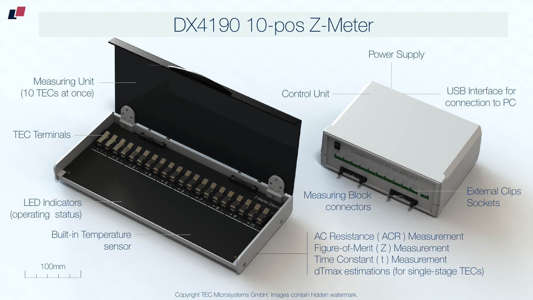Copyright TEC Microsystems GmbH. Images contain hidden watermark.

## DX4190 10-pos Z-Meter

100mm 电子开关电子

### Measuring Unit (10 TECs at once)

TEC Terminals

 $\boldsymbol{\Pi}$ 

LED Indicators (operating status)

> Built-in Temperature sensor

Control Unit Control Unit connection to PC

> External Clips **Sockets**

AC Resistance ( ACR ) Measurement Figure-of-Merit (Z) Measurement Time Constant ( t ) Measurement dTmax estimations (for single-stage TECs)





### Measuring Block connectors

Power Supply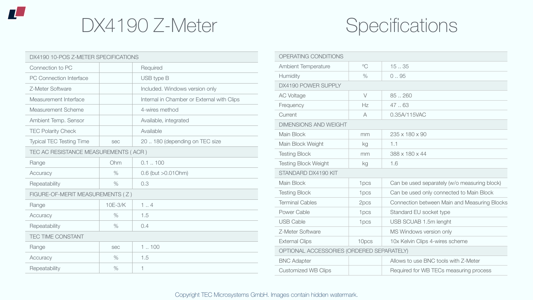

## DX4190 Z-Meter Specifications

Copyright TEC Microsystems GmbH. Images contain hidden watermark.

| DX4190 10-POS Z-METER SPECIFICATIONS |               |                                            |  |  |  |  |  |
|--------------------------------------|---------------|--------------------------------------------|--|--|--|--|--|
| Connection to PC                     |               | Required                                   |  |  |  |  |  |
| <b>PC Connection Interface</b>       |               | USB type B                                 |  |  |  |  |  |
| Z-Meter Software                     |               | Included. Windows version only             |  |  |  |  |  |
| Measurement Interface                |               | Internal in Chamber or External with Clips |  |  |  |  |  |
| <b>Measurement Scheme</b>            |               | 4-wires method                             |  |  |  |  |  |
| Ambient Temp. Sensor                 |               | Available, integrated                      |  |  |  |  |  |
| <b>TEC Polarity Check</b>            |               | Available                                  |  |  |  |  |  |
| <b>Typical TEC Testing Time</b>      | <b>Sec</b>    | 20  180 (depending on TEC size             |  |  |  |  |  |
| TEC AC RESISTANCE MEASUREMENTS (ACR) |               |                                            |  |  |  |  |  |
| Range                                | Ohm           | $0.1$ $.100$                               |  |  |  |  |  |
| Accuracy                             | $\%$          | $0.6$ (but $>0.01$ Ohm)                    |  |  |  |  |  |
| Repeatability                        | $\frac{0}{0}$ | 0.3                                        |  |  |  |  |  |
| FIGURE-OF-MERIT MEASUREMENTS (Z)     |               |                                            |  |  |  |  |  |
| Range                                | $10E-3/K$     | 14                                         |  |  |  |  |  |
| Accuracy                             | $\frac{0}{0}$ | 1.5                                        |  |  |  |  |  |
| Repeatability                        | $\%$          | 0.4                                        |  |  |  |  |  |
| <b>TEC TIME CONSTANT</b>             |               |                                            |  |  |  |  |  |
| Range                                | <b>Sec</b>    | 1100                                       |  |  |  |  |  |
| Accuracy                             | $\%$          | 1.5                                        |  |  |  |  |  |
| Repeatability                        | $\%$          |                                            |  |  |  |  |  |

| OPERATING CONDITIONS                      |                        |                                                     |  |  |  |
|-------------------------------------------|------------------------|-----------------------------------------------------|--|--|--|
| <b>Ambient Temperature</b>                | $\mathrm{O}\mathrm{C}$ | 1535                                                |  |  |  |
| <b>Humidity</b>                           | $\%$                   | 0.95                                                |  |  |  |
| DX4190 POWER SUPPLY                       |                        |                                                     |  |  |  |
| <b>AC Voltage</b>                         | $\vee$                 | 85.260                                              |  |  |  |
| Frequency                                 | Hz                     | 47.63                                               |  |  |  |
| Current                                   | $\forall$              | 0.35A/115VAC                                        |  |  |  |
| <b>DIMENSIONS AND WEIGHT</b>              |                        |                                                     |  |  |  |
| Main Block                                | mm                     | $235 \times 180 \times 90$                          |  |  |  |
| Main Block Weight                         | kg                     | 1.1                                                 |  |  |  |
| <b>Testing Block</b>                      | mm                     | $388 \times 180 \times 44$                          |  |  |  |
| <b>Testing Block Weight</b>               | kg                     | 1.6                                                 |  |  |  |
| STANDARD DX4190 KIT                       |                        |                                                     |  |  |  |
| Main Block                                | 1 <sub>pcs</sub>       | Can be used separately (w/o measuring block)        |  |  |  |
| <b>Testing Block</b>                      | 1 <sub>pcs</sub>       | Can be used only connected to Main Block            |  |  |  |
| <b>Terminal Cables</b>                    | 2pcs                   | <b>Connection between Main and Measuring Blocks</b> |  |  |  |
| Power Cable                               | 1 <sub>pcs</sub>       | Standard EU socket type                             |  |  |  |
| <b>USB Cable</b>                          | 1 <sub>pcs</sub>       | USB SCUAB 1.5m lenght                               |  |  |  |
| Z-Meter Software                          |                        | MS Windows version only                             |  |  |  |
| <b>External Clips</b>                     | 10pcs                  | 10x Kelvin Clips 4-wires scheme                     |  |  |  |
| OPTIONAL ACCESSORIES (ORDERED SEPARATELY) |                        |                                                     |  |  |  |
| <b>BNC Adapter</b>                        |                        | Allows to use BNC tools with Z-Meter                |  |  |  |
| <b>Customized WB Clips</b>                |                        | Required for WB TECs measuring process              |  |  |  |